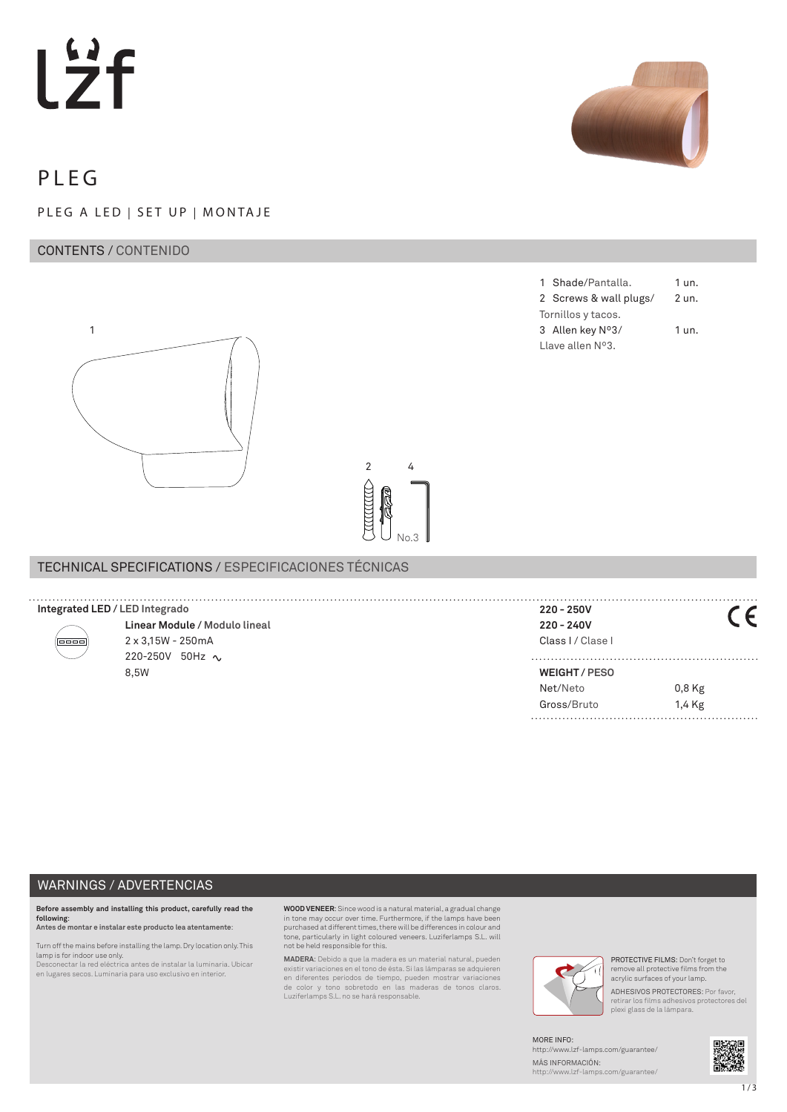# Lzf



# PLEG

# PLEG A LED | SET UP | MONTAJE

# CONTENTS / CONTENIDO



TECHNICAL SPECIFICATIONS / ESPECIFICACIONES TÉCNICAS

|                            | 1 Shade/Pantalla.      | 1 un.   |  |
|----------------------------|------------------------|---------|--|
|                            | 2 Screws & wall plugs/ | 2 un.   |  |
| Tornillos y tacos.         |                        |         |  |
|                            | 3 Allen key Nº3/       | $1$ un. |  |
| Llave allen $N^{\circ}3$ . |                        |         |  |

| Integrated LED / LED Integrado |                               | 220 - 250V        |        |
|--------------------------------|-------------------------------|-------------------|--------|
|                                | Linear Module / Modulo lineal | 220 - 240V        |        |
| 10000                          | 2 x 3,15W - 250mA             | Class I / Clase I |        |
|                                | 220-250V 50Hz $\sim$          |                   |        |
|                                | 8.5W                          | WEIGHT/PESO       |        |
|                                |                               | Net/Neto          | 0,8 Kg |

**CONTROLLED** 

2 4

No.3

### WARNINGS / ADVERTENCIAS

**Before assembly and installing this product, carefully read the following**: **Antes de montar e instalar este producto lea atentamente**:

Turn off the mains before installing the lamp. Dry location only. This lamp is for indoor use only. Desconectar la red eléctrica antes de instalar la luminaria. Ubicar

en lugares secos. Luminaria para uso exclusivo en interior.

**WOOD VENEER**: Since wood is a natural material, a gradual change in tone may occur over time. Furthermore, if the lamps have been purchased at different times, there will be differences in colour and tone, particularly in light coloured veneers. Luziferlamps S.L. will not be held responsible for this.

**MADERA**: Debido a que la madera es un material natural, pueden existir variaciones en el tono de ésta. Si las lámparas se adquieren en diferentes periodos de tiempo, pueden mostrar variaciones de color y tono sobretodo en las maderas de tonos claros. Luziferlamps S.L. no se hará responsable.



PROTECTIVE FILMS: Don't forget to remove all protective films from the acrylic surfaces of your lamp. ADHESIVOS PROTECTORES: Por favor, retirar los films adhesivos protectores del plexi glass de la lámpara.

Gross/Bruto 1,4 Kg

MORE INFO: http://www.lzf-lamps.com/guarantee/ MÁS INFORMACIÓN: http://www.lzf-lamps.com/guarantee/

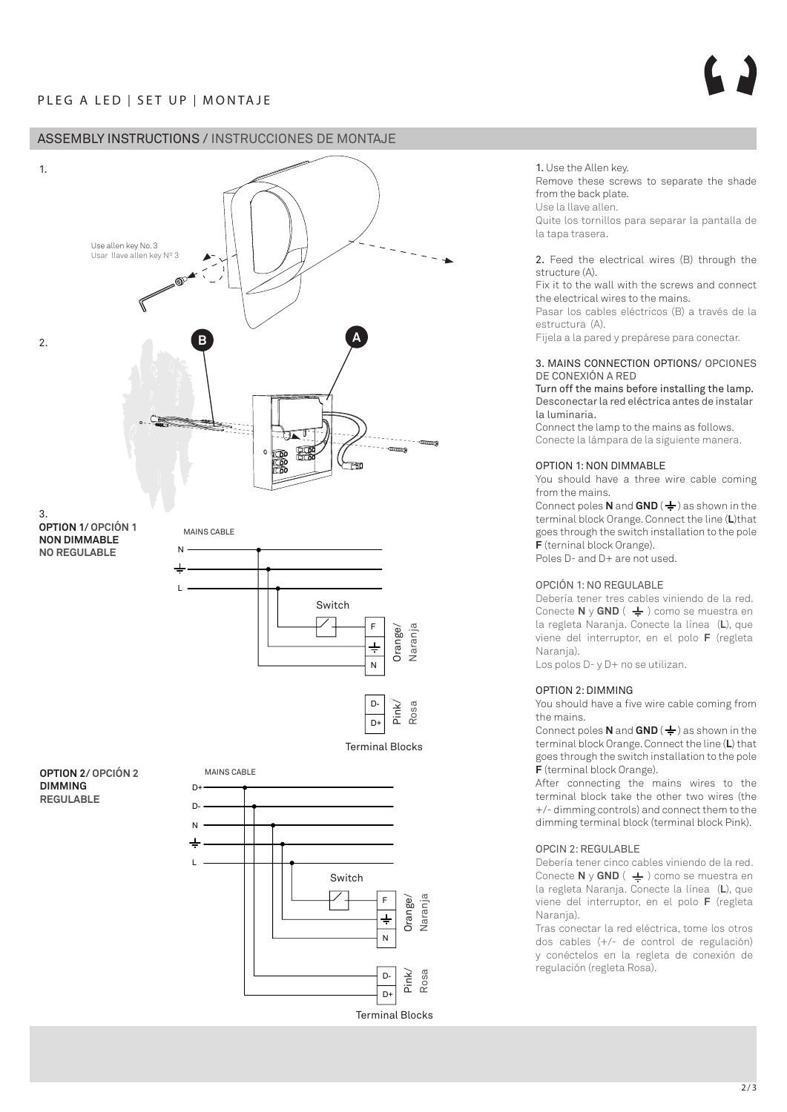# ASSEMBLY INSTRUCTIONS / INSTRUCCIONES DE MONTAJE



2. Feed the electrical wires (B) through the structure (A).

Fix it to the wall with the screws and connect the electrical wires to the mains.

Pasar los cables eléctricos (B) a través de la estructura (A).

Fíjela a la pared y prepárese para conectar.

### 3. MAINS CONNECTION OPTIONS/ OPCIONES DE CONEXIÓN A RED

Turn off the mains before installing the lamp. Desconectar la red eléctrica antes de instalar la luminaria.

Connect the lamp to the mains as follows. Conecte la lámpara de la siguiente manera.

### OPTION 1: NON DIMMABLE

You should have a three wire cable coming from the mains.

Connect poles **N** and  $GND$  ( $\neq$ ) as shown in the terminal block Orange. Connect the line (**L**)that goes through the switch installation to the pole **F** (terninal block Orange).

Poles D- and D+ are not used.

### OPCIÓN 1: NO REGULABLE

Debería tener tres cables viniendo de la red. Conecte  $N \vee GND$  ( $\frac{1}{N}$ ) como se muestra en la regleta Naranja. Conecte la línea (**L**), que viene del interruptor, en el polo **F** (regleta Naranja).

Los polos D- y D+ no se utilizan.

### OPTION 2: DIMMING

You should have a five wire cable coming from the mains.

Connect poles **N** and  $GND$  ( $\neq$ ) as shown in the terminal block Orange. Connect the line (**L**) that goes through the switch installation to the pole **F** (terminal block Orange).

After connecting the mains wires to the terminal block take the other two wires (the +/- dimming controls) and connect them to the dimming terminal block (terminal block Pink).

### OPCIN 2: REGULABLE

 $\overline{D}$ 

Terminal Blocks

Debería tener cinco cables viniendo de la red. Conecte **N** y **GND** ( $\triangleq$ ) como se muestra en la regleta Naranja. Conecte la línea (**L**), que viene del interruptor, en el polo **F** (regleta Naranja).

Tras conectar la red eléctrica, tome los otros dos cables (+/- de control de regulación) y conéctelos en la regleta de conexión de regulación (regleta Rosa).

 $2/3$ 

<sup>1.</sup> Use the Allen key. Remove these screws to separate the shade from the back plate. Use la llave allen. Quite los tornillos para separar la pantalla de la tapa trasera.